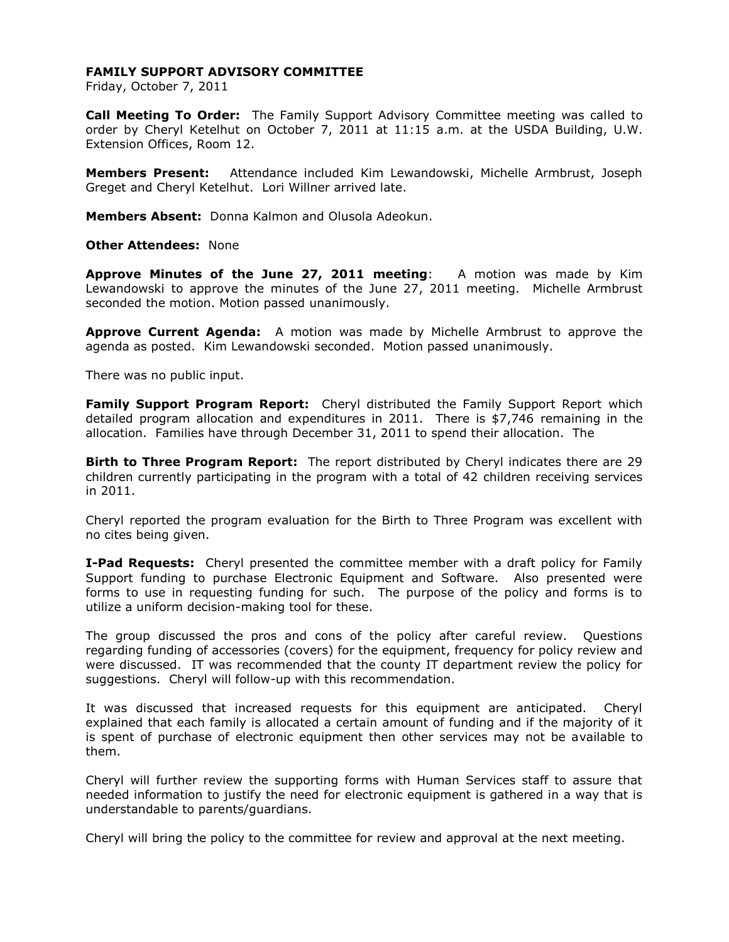## **FAMILY SUPPORT ADVISORY COMMITTEE**

Friday, October 7, 2011

**Call Meeting To Order:** The Family Support Advisory Committee meeting was called to order by Cheryl Ketelhut on October 7, 2011 at 11:15 a.m. at the USDA Building, U.W. Extension Offices, Room 12.

**Members Present:** Attendance included Kim Lewandowski, Michelle Armbrust, Joseph Greget and Cheryl Ketelhut. Lori Willner arrived late.

**Members Absent:** Donna Kalmon and Olusola Adeokun.

**Other Attendees:** None

**Approve Minutes of the June 27, 2011 meeting**: A motion was made by Kim Lewandowski to approve the minutes of the June 27, 2011 meeting. Michelle Armbrust seconded the motion. Motion passed unanimously.

**Approve Current Agenda:** A motion was made by Michelle Armbrust to approve the agenda as posted. Kim Lewandowski seconded. Motion passed unanimously.

There was no public input.

**Family Support Program Report:** Cheryl distributed the Family Support Report which detailed program allocation and expenditures in 2011. There is \$7,746 remaining in the allocation. Families have through December 31, 2011 to spend their allocation. The

**Birth to Three Program Report:** The report distributed by Cheryl indicates there are 29 children currently participating in the program with a total of 42 children receiving services in 2011.

Cheryl reported the program evaluation for the Birth to Three Program was excellent with no cites being given.

**I-Pad Requests:** Cheryl presented the committee member with a draft policy for Family Support funding to purchase Electronic Equipment and Software. Also presented were forms to use in requesting funding for such. The purpose of the policy and forms is to utilize a uniform decision-making tool for these.

The group discussed the pros and cons of the policy after careful review. Questions regarding funding of accessories (covers) for the equipment, frequency for policy review and were discussed. IT was recommended that the county IT department review the policy for suggestions. Cheryl will follow-up with this recommendation.

It was discussed that increased requests for this equipment are anticipated. Cheryl explained that each family is allocated a certain amount of funding and if the majority of it is spent of purchase of electronic equipment then other services may not be available to them.

Cheryl will further review the supporting forms with Human Services staff to assure that needed information to justify the need for electronic equipment is gathered in a way that is understandable to parents/guardians.

Cheryl will bring the policy to the committee for review and approval at the next meeting.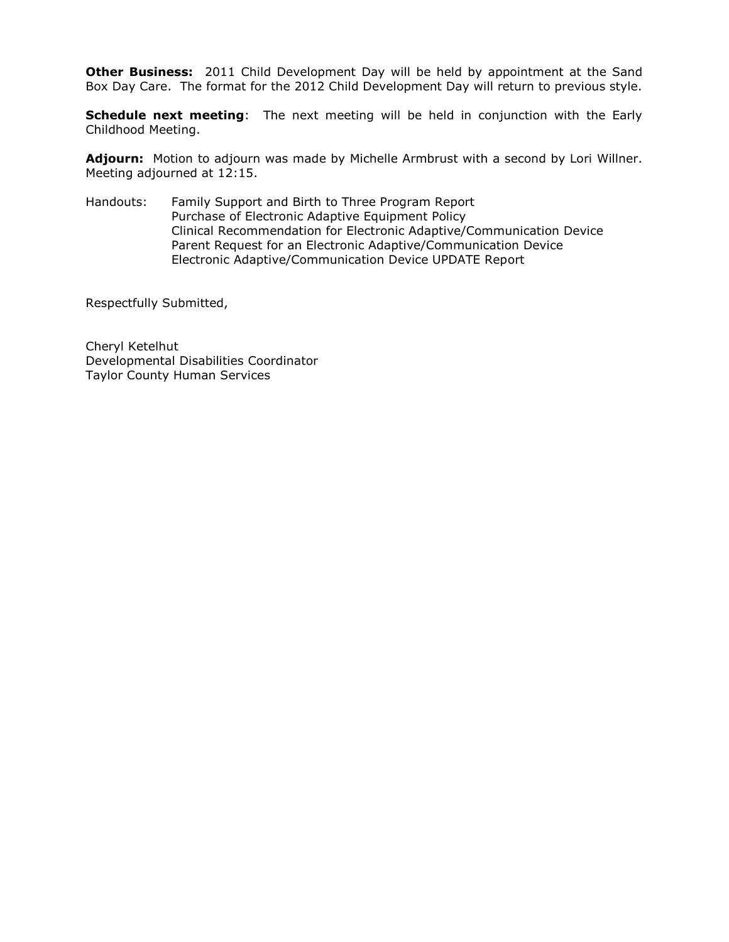**Other Business:** 2011 Child Development Day will be held by appointment at the Sand Box Day Care. The format for the 2012 Child Development Day will return to previous style.

**Schedule next meeting**: The next meeting will be held in conjunction with the Early Childhood Meeting.

**Adjourn:** Motion to adjourn was made by Michelle Armbrust with a second by Lori Willner. Meeting adjourned at 12:15.

Handouts: Family Support and Birth to Three Program Report Purchase of Electronic Adaptive Equipment Policy Clinical Recommendation for Electronic Adaptive/Communication Device Parent Request for an Electronic Adaptive/Communication Device Electronic Adaptive/Communication Device UPDATE Report

Respectfully Submitted,

Cheryl Ketelhut Developmental Disabilities Coordinator Taylor County Human Services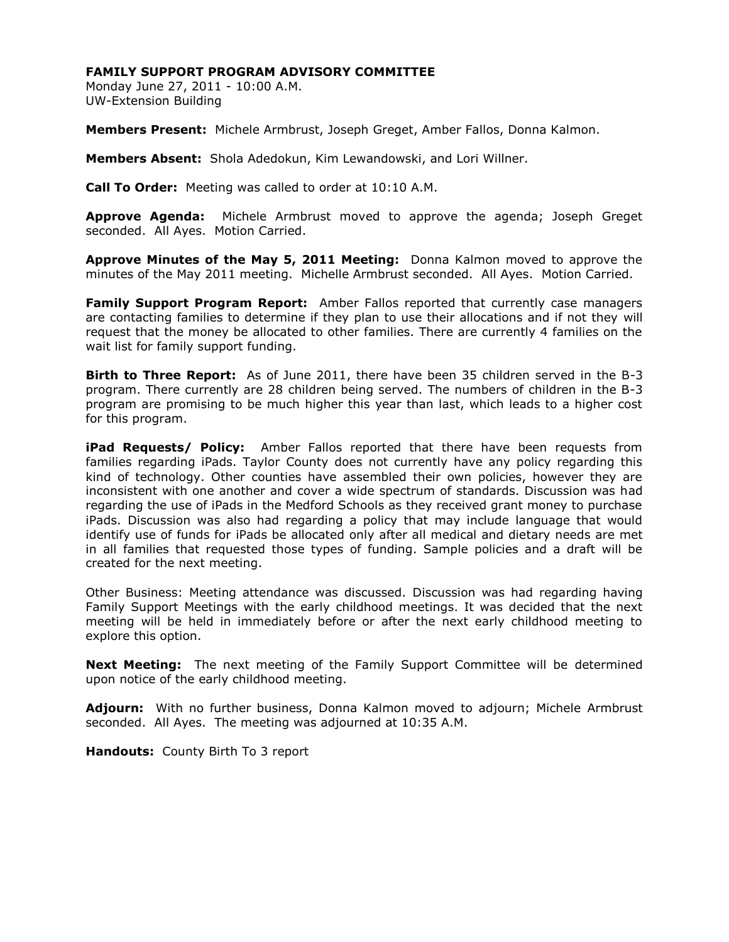## **FAMILY SUPPORT PROGRAM ADVISORY COMMITTEE**

Monday June 27, 2011 - 10:00 A.M. UW-Extension Building

**Members Present:** Michele Armbrust, Joseph Greget, Amber Fallos, Donna Kalmon.

**Members Absent:** Shola Adedokun, Kim Lewandowski, and Lori Willner.

**Call To Order:** Meeting was called to order at 10:10 A.M.

**Approve Agenda:** Michele Armbrust moved to approve the agenda; Joseph Greget seconded. All Ayes. Motion Carried.

**Approve Minutes of the May 5, 2011 Meeting:** Donna Kalmon moved to approve the minutes of the May 2011 meeting. Michelle Armbrust seconded. All Ayes. Motion Carried.

**Family Support Program Report:** Amber Fallos reported that currently case managers are contacting families to determine if they plan to use their allocations and if not they will request that the money be allocated to other families. There are currently 4 families on the wait list for family support funding.

**Birth to Three Report:** As of June 2011, there have been 35 children served in the B-3 program. There currently are 28 children being served. The numbers of children in the B-3 program are promising to be much higher this year than last, which leads to a higher cost for this program.

**iPad Requests/ Policy:** Amber Fallos reported that there have been requests from families regarding iPads. Taylor County does not currently have any policy regarding this kind of technology. Other counties have assembled their own policies, however they are inconsistent with one another and cover a wide spectrum of standards. Discussion was had regarding the use of iPads in the Medford Schools as they received grant money to purchase iPads. Discussion was also had regarding a policy that may include language that would identify use of funds for iPads be allocated only after all medical and dietary needs are met in all families that requested those types of funding. Sample policies and a draft will be created for the next meeting.

Other Business: Meeting attendance was discussed. Discussion was had regarding having Family Support Meetings with the early childhood meetings. It was decided that the next meeting will be held in immediately before or after the next early childhood meeting to explore this option.

**Next Meeting:** The next meeting of the Family Support Committee will be determined upon notice of the early childhood meeting.

**Adjourn:** With no further business, Donna Kalmon moved to adjourn; Michele Armbrust seconded. All Ayes. The meeting was adjourned at 10:35 A.M.

**Handouts:** County Birth To 3 report